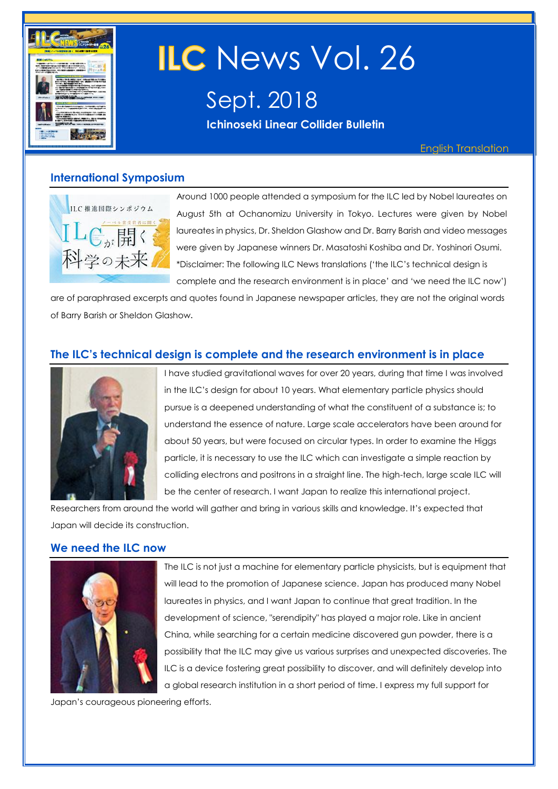

# ILC News Vol. 26

Sept. 2018 **Ichinoseki Linear Collider Bulletin** 

English Translation

#### **International Symposium**



Around 1000 people attended a symposium for the ILC led by Nobel laureates on August 5th at Ochanomizu University in Tokyo. Lectures were given by Nobel laureates in physics, Dr. Sheldon Glashow and Dr. Barry Barish and video messages were given by Japanese winners Dr. Masatoshi Koshiba and Dr. Yoshinori Osumi. \*Disclaimer: The following ILC News translations ('the ILC's technical design is complete and the research environment is in place' and 'we need the ILC now')

are of paraphrased excerpts and quotes found in Japanese newspaper articles, they are not the original words of Barry Barish or Sheldon Glashow.

#### **The ILC's technical design is complete and the research environment is in place**



I have studied gravitational waves for over 20 years, during that time I was involved in the ILC's design for about 10 years. What elementary particle physics should pursue is a deepened understanding of what the constituent of a substance is; to understand the essence of nature. Large scale accelerators have been around for about 50 years, but were focused on circular types. In order to examine the Higgs particle, it is necessary to use the ILC which can investigate a simple reaction by colliding electrons and positrons in a straight line. The high-tech, large scale ILC will be the center of research. I want Japan to realize this international project.

Researchers from around the world will gather and bring in various skills and knowledge. It's expected that Japan will decide its construction.

#### **We need the ILC now**



The ILC is not just a machine for elementary particle physicists, but is equipment that will lead to the promotion of Japanese science. Japan has produced many Nobel laureates in physics, and I want Japan to continue that great tradition. In the development of science, "serendipity" has played a major role. Like in ancient China, while searching for a certain medicine discovered gun powder, there is a possibility that the ILC may give us various surprises and unexpected discoveries. The ILC is a device fostering great possibility to discover, and will definitely develop into a global research institution in a short period of time. I express my full support for

Japan's courageous pioneering efforts.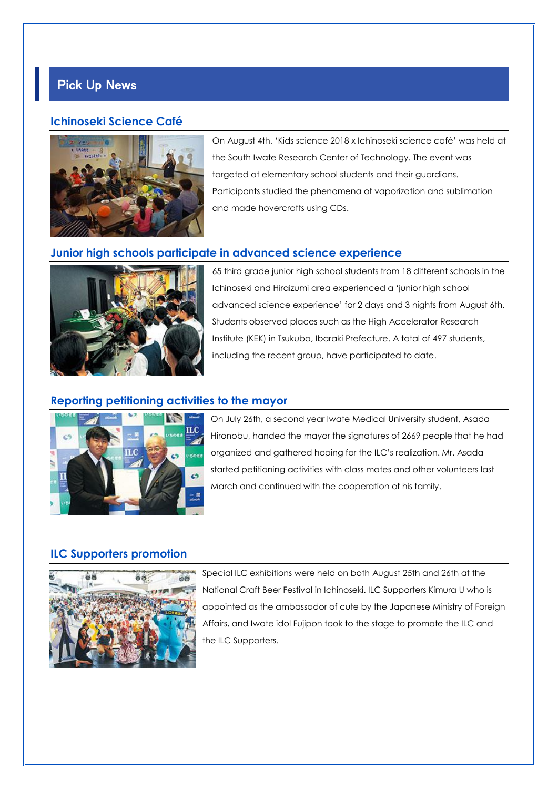# Pick Up News

#### **Ichinoseki Science Café**



On August 4th, 'Kids science 2018 x Ichinoseki science café' was held at the South Iwate Research Center of Technology. The event was targeted at elementary school students and their guardians. Participants studied the phenomena of vaporization and sublimation and made hovercrafts using CDs.

#### **Junior high schools participate in advanced science experience**



65 third grade junior high school students from 18 different schools in the Ichinoseki and Hiraizumi area experienced a 'junior high school advanced science experience' for 2 days and 3 nights from August 6th. Students observed places such as the High Accelerator Research Institute (KEK) in Tsukuba, Ibaraki Prefecture. A total of 497 students, including the recent group, have participated to date.

#### **Reporting petitioning activities to the mayor**



On July 26th, a second year Iwate Medical University student, Asada Hironobu, handed the mayor the signatures of 2669 people that he had organized and gathered hoping for the ILC's realization. Mr. Asada started petitioning activities with class mates and other volunteers last March and continued with the cooperation of his family.

#### **ILC Supporters promotion**



Special ILC exhibitions were held on both August 25th and 26th at the National Craft Beer Festival in Ichinoseki. ILC Supporters Kimura U who is appointed as the ambassador of cute by the Japanese Ministry of Foreign Affairs, and Iwate idol Fujipon took to the stage to promote the ILC and the ILC Supporters.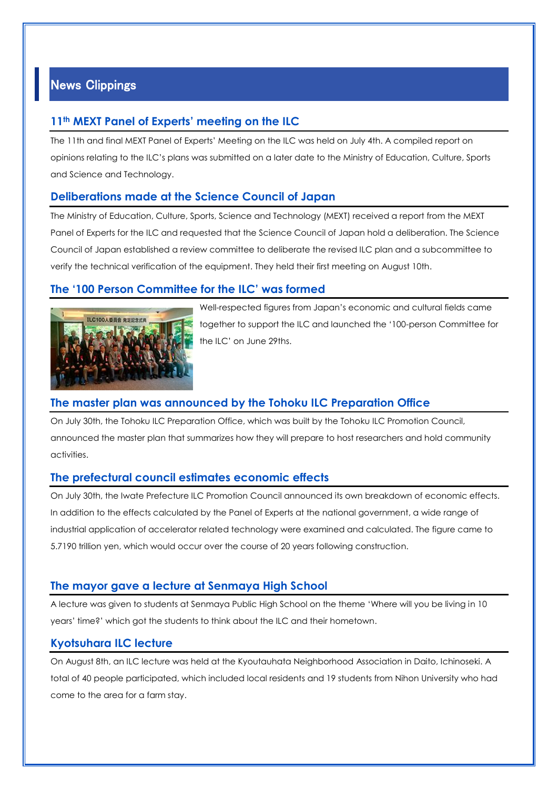## News Clippings

#### **11th MEXT Panel of Experts' meeting on the ILC**

The 11th and final MEXT Panel of Experts' Meeting on the ILC was held on July 4th. A compiled report on opinions relating to the ILC's plans was submitted on a later date to the Ministry of Education, Culture, Sports and Science and Technology.

#### **Deliberations made at the Science Council of Japan**

The Ministry of Education, Culture, Sports, Science and Technology (MEXT) received a report from the MEXT Panel of Experts for the ILC and requested that the Science Council of Japan hold a deliberation. The Science Council of Japan established a review committee to deliberate the revised ILC plan and a subcommittee to verify the technical verification of the equipment. They held their first meeting on August 10th.

#### **The '100 Person Committee for the ILC' was formed**



Well-respected figures from Japan's economic and cultural fields came together to support the ILC and launched the '100-person Committee for the ILC' on June 29ths.

#### **The master plan was announced by the Tohoku ILC Preparation Office**

On July 30th, the Tohoku ILC Preparation Office, which was built by the Tohoku ILC Promotion Council, announced the master plan that summarizes how they will prepare to host researchers and hold community activities.

#### **The prefectural council estimates economic effects**

On July 30th, the Iwate Prefecture ILC Promotion Council announced its own breakdown of economic effects. In addition to the effects calculated by the Panel of Experts at the national government, a wide range of industrial application of accelerator related technology were examined and calculated. The figure came to 5.7190 trillion yen, which would occur over the course of 20 years following construction.

#### **The mayor gave a lecture at Senmaya High School**

A lecture was given to students at Senmaya Public High School on the theme 'Where will you be living in 10 years' time?' which got the students to think about the ILC and their hometown.

#### **Kyotsuhara ILC lecture**

On August 8th, an ILC lecture was held at the Kyoutauhata Neighborhood Association in Daito, Ichinoseki. A total of 40 people participated, which included local residents and 19 students from Nihon University who had come to the area for a farm stay.